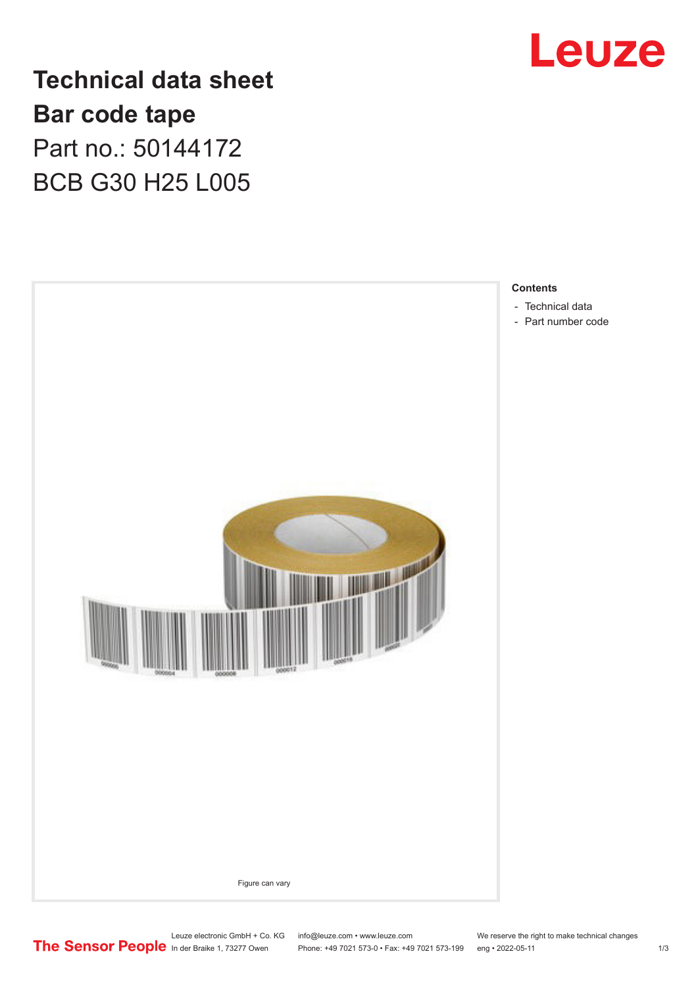

**Technical data sheet Bar code tape** Part no.: 50144172 BCB G30 H25 L005



Leuze electronic GmbH + Co. KG info@leuze.com • www.leuze.com We reserve the right to make technical changes<br>
The Sensor People in der Braike 1, 73277 Owen Phone: +49 7021 573-0 • Fax: +49 7021 573-199 eng • 2022-05-11

Phone: +49 7021 573-0 • Fax: +49 7021 573-199 eng • 2022-05-11 1 2022-05-11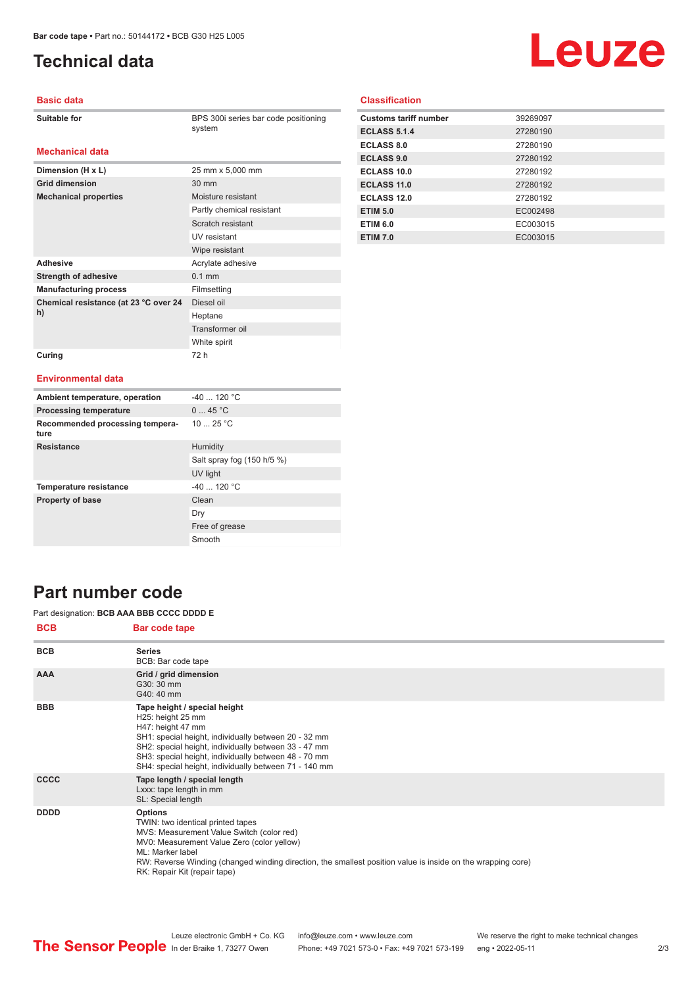# <span id="page-1-0"></span>**Technical data**

# Leuze

#### **Basic data**

| Suitable for |
|--------------|
|--------------|

BPS 300i series bar code positioning system

#### **Mechanical data**

| Dimension (H x L)                     | 25 mm x 5,000 mm          |
|---------------------------------------|---------------------------|
| <b>Grid dimension</b>                 | 30 mm                     |
| <b>Mechanical properties</b>          | Moisture resistant        |
|                                       | Partly chemical resistant |
|                                       | Scratch resistant         |
|                                       | UV resistant              |
|                                       | Wipe resistant            |
| <b>Adhesive</b>                       | Acrylate adhesive         |
| <b>Strength of adhesive</b>           | $0.1$ mm                  |
| <b>Manufacturing process</b>          | Filmsetting               |
| Chemical resistance (at 23 °C over 24 | Diesel oil                |
| h)                                    | Heptane                   |
|                                       | Transformer oil           |
|                                       | White spirit              |
| Curing                                | 72 h                      |

#### **Classification**

| <b>Customs tariff number</b> | 39269097 |
|------------------------------|----------|
| <b>ECLASS 5.1.4</b>          | 27280190 |
| <b>ECLASS 8.0</b>            | 27280190 |
| <b>ECLASS 9.0</b>            | 27280192 |
| ECLASS 10.0                  | 27280192 |
| ECLASS 11.0                  | 27280192 |
| ECLASS 12.0                  | 27280192 |
| <b>ETIM 5.0</b>              | EC002498 |
| <b>ETIM 6.0</b>              | EC003015 |
| <b>ETIM 7.0</b>              | EC003015 |

#### **Environmental data**

| Ambient temperature, operation          | $-40$ 120 °C               |
|-----------------------------------------|----------------------------|
| <b>Processing temperature</b>           | 045 °C                     |
| Recommended processing tempera-<br>ture | 10 $25 °C$                 |
| <b>Resistance</b>                       | Humidity                   |
|                                         | Salt spray fog (150 h/5 %) |
|                                         | UV light                   |
| <b>Temperature resistance</b>           | $-40$ 120 °C               |
| <b>Property of base</b>                 | Clean                      |
|                                         | Dry                        |
|                                         | Free of grease             |
|                                         | Smooth                     |

### **Part number code**

#### Part designation: **BCB AAA BBB CCCC DDDD E**

| <b>BCB</b>  | <b>Bar code tape</b>                                                                                                                                                                                                                                                                                              |
|-------------|-------------------------------------------------------------------------------------------------------------------------------------------------------------------------------------------------------------------------------------------------------------------------------------------------------------------|
| <b>BCB</b>  | <b>Series</b><br>BCB: Bar code tape                                                                                                                                                                                                                                                                               |
| <b>AAA</b>  | Grid / grid dimension<br>G30: 30 mm<br>G40: 40 mm                                                                                                                                                                                                                                                                 |
| <b>BBB</b>  | Tape height / special height<br>H25: height 25 mm<br>H47: height 47 mm<br>SH1: special height, individually between 20 - 32 mm<br>SH2: special height, individually between 33 - 47 mm<br>SH3: special height, individually between 48 - 70 mm<br>SH4: special height, individually between 71 - 140 mm           |
| <b>CCCC</b> | Tape length / special length<br>Lxxx: tape length in mm<br>SL: Special length                                                                                                                                                                                                                                     |
| <b>DDDD</b> | <b>Options</b><br>TWIN: two identical printed tapes<br>MVS: Measurement Value Switch (color red)<br>MV0: Measurement Value Zero (color yellow)<br>ML: Marker label<br>RW: Reverse Winding (changed winding direction, the smallest position value is inside on the wrapping core)<br>RK: Repair Kit (repair tape) |